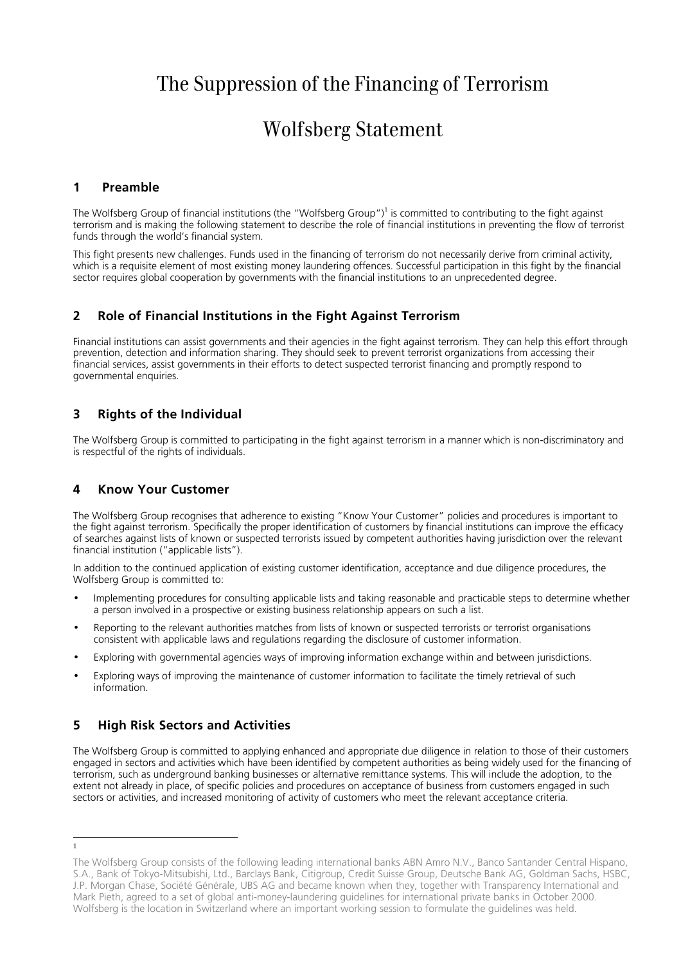# The Suppression of the Financing of Terrorism

## Wolfsberg Statement

#### **1 Preamble**

The Wolfsberg Group of financial institutions (the "Wolfsberg Group")<sup>1</sup> is committed to contributing to the fight against terrorism and is making the following statement to describe the role of financial institutions in preventing the flow of terrorist funds through the world's financial system.

This fight presents new challenges. Funds used in the financing of terrorism do not necessarily derive from criminal activity, which is a requisite element of most existing money laundering offences. Successful participation in this fight by the financial sector requires global cooperation by governments with the financial institutions to an unprecedented degree.

#### **2 Role of Financial Institutions in the Fight Against Terrorism**

Financial institutions can assist governments and their agencies in the fight against terrorism. They can help this effort through prevention, detection and information sharing. They should seek to prevent terrorist organizations from accessing their financial services, assist governments in their efforts to detect suspected terrorist financing and promptly respond to governmental enquiries.

### **3 Rights of the Individual**

The Wolfsberg Group is committed to participating in the fight against terrorism in a manner which is non-discriminatory and is respectful of the rights of individuals.

### **4 Know Your Customer**

The Wolfsberg Group recognises that adherence to existing "Know Your Customer" policies and procedures is important to the fight against terrorism. Specifically the proper identification of customers by financial institutions can improve the efficacy of searches against lists of known or suspected terrorists issued by competent authorities having jurisdiction over the relevant financial institution ("applicable lists").

In addition to the continued application of existing customer identification, acceptance and due diligence procedures, the Wolfsberg Group is committed to:

- Implementing procedures for consulting applicable lists and taking reasonable and practicable steps to determine whether a person involved in a prospective or existing business relationship appears on such a list.
- Reporting to the relevant authorities matches from lists of known or suspected terrorists or terrorist organisations consistent with applicable laws and regulations regarding the disclosure of customer information.
- Exploring with governmental agencies ways of improving information exchange within and between jurisdictions.
- Exploring ways of improving the maintenance of customer information to facilitate the timely retrieval of such information.

### **5 High Risk Sectors and Activities**

The Wolfsberg Group is committed to applying enhanced and appropriate due diligence in relation to those of their customers engaged in sectors and activities which have been identified by competent authorities as being widely used for the financing of terrorism, such as underground banking businesses or alternative remittance systems. This will include the adoption, to the extent not already in place, of specific policies and procedures on acceptance of business from customers engaged in such sectors or activities, and increased monitoring of activity of customers who meet the relevant acceptance criteria.

1

The Wolfsberg Group consists of the following leading international banks ABN Amro N.V., Banco Santander Central Hispano, S.A., Bank of Tokyo-Mitsubishi, Ltd., Barclays Bank, Citigroup, Credit Suisse Group, Deutsche Bank AG, Goldman Sachs, HSBC, J.P. Morgan Chase, Société Générale, UBS AG and became known when they, together with Transparency International and Mark Pieth, agreed to a set of global anti-money-laundering guidelines for international private banks in October 2000. Wolfsberg is the location in Switzerland where an important working session to formulate the guidelines was held.